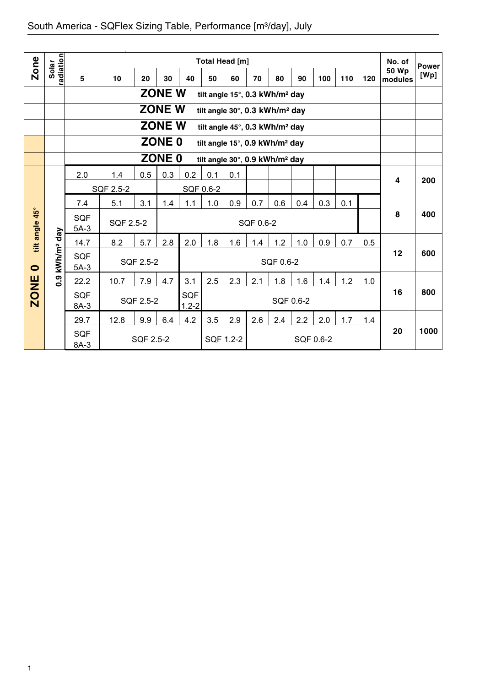| <b>Zone</b>    |                        |                      |           |           |               |                         |           | Total Head [m]                             |           |           |           |           |     |     | No. of           | <b>Power</b> |
|----------------|------------------------|----------------------|-----------|-----------|---------------|-------------------------|-----------|--------------------------------------------|-----------|-----------|-----------|-----------|-----|-----|------------------|--------------|
|                | radiation<br>Solar     | 5                    | 10        | 20        | 30            | 40                      | 50        | 60                                         | 70        | 80        | 90        | 100       | 110 | 120 | 50 Wp<br>modules | [Wp]         |
|                |                        |                      |           |           | <b>ZONE W</b> |                         |           | tilt angle 15°, 0.3 kWh/m <sup>2</sup> day |           |           |           |           |     |     |                  |              |
|                |                        |                      |           |           | <b>ZONE W</b> |                         |           | tilt angle 30°, 0.3 kWh/m <sup>2</sup> day |           |           |           |           |     |     |                  |              |
|                |                        |                      |           |           | <b>ZONE W</b> |                         |           | tilt angle 45°, 0.3 kWh/m <sup>2</sup> day |           |           |           |           |     |     |                  |              |
|                |                        |                      |           |           | <b>ZONE 0</b> |                         |           | tilt angle 15°, 0.9 kWh/m <sup>2</sup> day |           |           |           |           |     |     |                  |              |
|                |                        |                      |           |           | <b>ZONE 0</b> |                         |           | tilt angle 30°, 0.9 kWh/m <sup>2</sup> day |           |           |           |           |     |     |                  |              |
|                |                        | 2.0                  | 1.4       | 0.5       | 0.3           | 0.2                     | 0.1       | 0.1                                        |           |           |           |           |     |     | 4                | 200          |
|                |                        |                      | SQF 2.5-2 |           |               |                         | SQF 0.6-2 |                                            |           |           |           |           |     |     |                  |              |
|                |                        | 7.4                  | 5.1       | 3.1       | 1.4           | 1.1                     | 1.0       | 0.9                                        | 0.7       | 0.6       | 0.4       | 0.3       | 0.1 |     |                  |              |
| tilt angle 45° |                        | <b>SQF</b><br>$5A-3$ | SQF 2.5-2 |           |               |                         |           |                                            | SQF 0.6-2 |           |           |           |     |     | 8                | 400          |
|                |                        | 14.7                 | 8.2       | 5.7       | 2.8           | 2.0                     | 1.8       | 1.6                                        | 1.4       | 1.2       | 1.0       | 0.9       | 0.7 | 0.5 |                  |              |
| $\bullet$      | kWh/m <sup>2</sup> day | <b>SQF</b><br>$5A-3$ |           | SQF 2.5-2 |               |                         |           |                                            |           | SQF 0.6-2 |           |           |     |     | 12               | 600          |
|                | 0.9                    | 22.2                 | 10.7      | 7.9       | 4.7           | 3.1                     | 2.5       | 2.3                                        | 2.1       | 1.8       | 1.6       | 1.4       | 1.2 | 1.0 |                  |              |
| <b>ZONE</b>    |                        | <b>SQF</b><br>8A-3   |           | SQF 2.5-2 |               | <b>SQF</b><br>$1.2 - 2$ |           |                                            |           |           | SQF 0.6-2 |           |     |     | 16               | 800          |
|                |                        | 29.7                 | 12.8      | 9.9       | 6.4           | 4.2                     | 3.5       | 2.9                                        | 2.6       | 2.4       | 2.2       | 2.0       | 1.7 | 1.4 |                  |              |
|                |                        | <b>SQF</b><br>8A-3   |           | SQF 2.5-2 |               |                         |           | SQF 1.2-2                                  |           |           |           | SQF 0.6-2 |     |     | 20               | 1000         |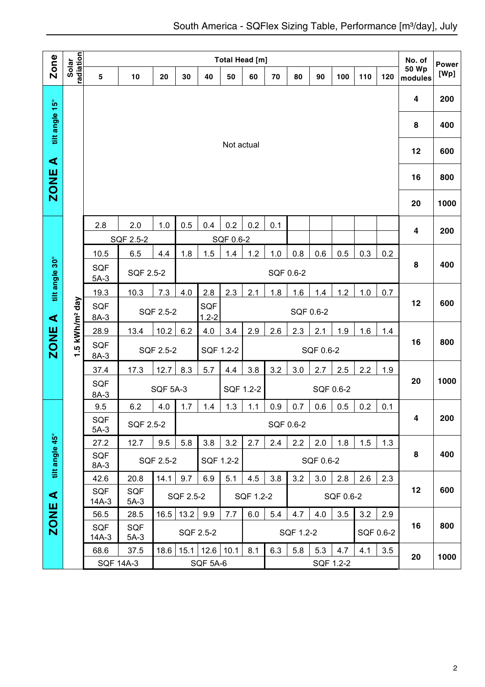| Zone                 |                           |                      |                      |                 |           |                  |            | Total Head [m] |     |           |           |           |     |           | No. of                  | <b>Power</b> |
|----------------------|---------------------------|----------------------|----------------------|-----------------|-----------|------------------|------------|----------------|-----|-----------|-----------|-----------|-----|-----------|-------------------------|--------------|
|                      | radiation<br>Solar        | 5                    | 10                   | 20              | 30        | 40               | 50         | 60             | 70  | 80        | 90        | 100       | 110 | 120       | <b>50 Wp</b><br>modules | [Wp]         |
|                      |                           |                      |                      |                 |           |                  |            |                |     |           |           |           |     |           | 4                       | 200          |
| tilt angle 15°       |                           |                      |                      |                 |           |                  |            |                |     |           |           |           |     |           | 8                       | 400          |
| $\blacktriangleleft$ |                           |                      |                      |                 |           |                  | Not actual |                |     |           |           |           |     |           | 12                      | 600          |
| <b>ZONE</b>          |                           |                      |                      |                 |           |                  |            |                |     |           |           |           |     |           | 16                      | 800          |
|                      |                           |                      |                      |                 |           |                  |            |                |     |           |           |           |     |           | 20                      | 1000         |
|                      |                           | 2.8                  | 2.0                  | 1.0             | 0.5       | 0.4              | 0.2        | 0.2            | 0.1 |           |           |           |     |           | 4                       | 200          |
|                      |                           |                      | SQF 2.5-2            |                 |           |                  | SQF 0.6-2  |                |     |           |           |           |     |           |                         |              |
|                      |                           | 10.5                 | 6.5                  | 4.4             | 1.8       | 1.5              | 1.4        | 1.2            | 1.0 | 0.8       | 0.6       | 0.5       | 0.3 | 0.2       |                         |              |
| tilt angle 30°       |                           | <b>SQF</b><br>$5A-3$ | SQF 2.5-2            |                 |           |                  |            |                |     | SQF 0.6-2 |           |           |     |           | 8                       | 400          |
|                      |                           | 19.3                 | 10.3                 | 7.3             | 4.0       | 2.8              | 2.3        | 2.1            | 1.8 | 1.6       | 1.4       | 1.2       | 1.0 | 0.7       |                         |              |
| $\blacktriangleleft$ | .5 kWh/m <sup>2</sup> day | SQF<br>$8A-3$        |                      | SQF 2.5-2       |           | SQF<br>$1.2 - 2$ |            |                |     |           | SQF 0.6-2 |           |     |           | 12                      | 600          |
|                      |                           | 28.9                 | 13.4                 | 10.2            | 6.2       | 4.0              | 3.4        | 2.9            | 2.6 | 2.3       | 2.1       | 1.9       | 1.6 | 1.4       |                         |              |
| <b>ZONE</b>          | ÷                         | <b>SQF</b><br>$8A-3$ |                      | SQF 2.5-2       |           |                  | SQF 1.2-2  |                |     |           | SQF 0.6-2 |           |     |           | 16                      | 800          |
|                      |                           | 37.4                 | 17.3                 | 12.7            | 8.3       | 5.7              | 4.4        | 3.8            | 3.2 | 3.0       | 2.7       | 2.5       | 2.2 | 1.9       |                         |              |
|                      |                           | <b>SQF</b><br>$8A-3$ |                      | <b>SQF 5A-3</b> |           |                  |            | SQF 1.2-2      |     |           |           | SQF 0.6-2 |     |           | 20                      | 1000         |
|                      |                           | 9.5                  | 6.2                  | 4.0             | 1.7       | 1.4              | 1.3        | 1.1            | 0.9 | 0.7       | 0.6       | 0.5       | 0.2 | 0.1       |                         |              |
|                      |                           | SQF<br>$5A-3$        | SQF 2.5-2            |                 |           |                  |            |                |     | SQF 0.6-2 |           |           |     |           | 4                       | 200          |
|                      |                           | 27.2                 | 12.7                 | 9.5             | 5.8       | 3.8              | 3.2        | 2.7            | 2.4 | 2.2       | 2.0       | 1.8       | 1.5 | 1.3       |                         |              |
| tilt angle 45°       |                           | SQF<br>8A-3          |                      | SQF 2.5-2       |           |                  | SQF 1.2-2  |                |     |           | SQF 0.6-2 |           |     |           | 8                       | 400          |
|                      |                           | 42.6                 | 20.8                 | 14.1            | 9.7       | 6.9              | 5.1        | 4.5            | 3.8 | 3.2       | 3.0       | 2.8       | 2.6 | 2.3       |                         |              |
| ⋖                    |                           | <b>SQF</b><br>14A-3  | <b>SQF</b><br>$5A-3$ |                 | SQF 2.5-2 |                  |            | SQF 1.2-2      |     |           |           | SQF 0.6-2 |     |           | 12                      | 600          |
|                      |                           | 56.5                 | 28.5                 | 16.5            | 13.2      | 9.9              | 7.7        | 6.0            | 5.4 | 4.7       | 4.0       | 3.5       | 3.2 | 2.9       |                         |              |
| <b>ZONE</b>          |                           | SQF<br>14A-3         | SQF<br>$5A-3$        |                 |           | SQF 2.5-2        |            |                |     | SQF 1.2-2 |           |           |     | SQF 0.6-2 | 16                      | 800          |
|                      |                           | 68.6                 | 37.5                 | 18.6            | 15.1      | 12.6             | 10.1       | 8.1            | 6.3 | 5.8       | 5.3       | 4.7       | 4.1 | 3.5       | 20                      | 1000         |
|                      |                           |                      | <b>SQF 14A-3</b>     |                 |           | <b>SQF 5A-6</b>  |            |                |     |           |           | SQF 1.2-2 |     |           |                         |              |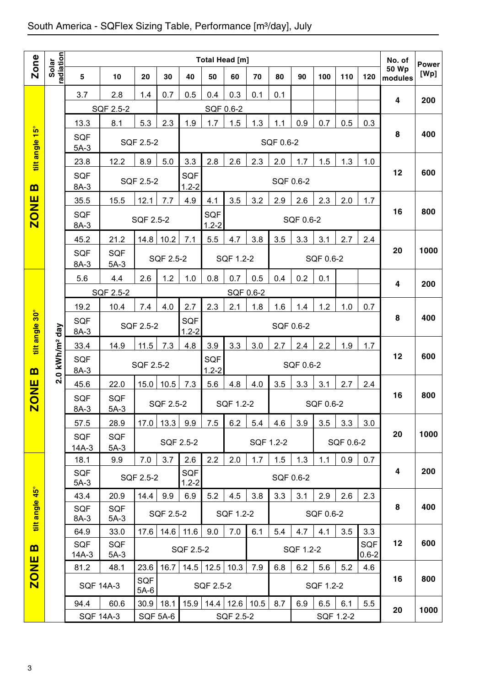|                                 |                    |                                                               |                      |                 |           |                         |                         | Total Head [m] |      |           |           |           |           |                         | No. of                  | <b>Power</b> |
|---------------------------------|--------------------|---------------------------------------------------------------|----------------------|-----------------|-----------|-------------------------|-------------------------|----------------|------|-----------|-----------|-----------|-----------|-------------------------|-------------------------|--------------|
| Zone                            | radiation<br>Solar | 5                                                             | 10                   | 20              | 30        | 40                      | 50                      | 60             | 70   | 80        | 90        | 100       | 110       | 120                     | <b>50 Wp</b><br>modules | [Wp]         |
|                                 |                    | 3.7                                                           | 2.8                  | 1.4             | 0.7       | 0.5                     | 0.4                     | 0.3            | 0.1  | 0.1       |           |           |           |                         | 4                       | 200          |
|                                 |                    |                                                               | SQF 2.5-2            |                 |           |                         | SQF 0.6-2               |                |      |           |           |           |           |                         |                         |              |
| $\frac{15^{\circ}}{15^{\circ}}$ |                    | 13.3                                                          | 8.1                  | 5.3             | 2.3       | 1.9                     | 1.7                     | 1.5            | 1.3  | 1.1       | 0.9       | 0.7       | 0.5       | 0.3                     |                         |              |
| tilt angle                      |                    | <b>SQF</b><br>$5A-3$                                          |                      | SQF 2.5-2       |           |                         |                         |                |      | SQF 0.6-2 |           |           |           |                         | 8                       | 400          |
|                                 |                    | 23.8                                                          | 12.2                 | 8.9             | 5.0       | 3.3                     | 2.8                     | 2.6            | 2.3  | 2.0       | 1.7       | 1.5       | 1.3       | 1.0                     |                         |              |
| <u>ന</u>                        |                    | <b>SQF</b><br>$8A-3$                                          |                      | SQF 2.5-2       |           | SQF<br>$1.2 - 2$        |                         |                |      | SQF 0.6-2 |           |           |           |                         | 12                      | 600          |
|                                 |                    | 35.5                                                          | 15.5                 | 12.1            | 7.7       | 4.9                     | 4.1                     | 3.5            | 3.2  | 2.9       | 2.6       | 2.3       | 2.0       | 1.7                     |                         |              |
| <b>ZONE</b>                     |                    | <b>SQF</b><br>$8A-3$                                          |                      | SQF 2.5-2       |           |                         | <b>SQF</b><br>$1.2 - 2$ |                |      |           | SQF 0.6-2 |           |           |                         | 16                      | 800          |
|                                 |                    | 45.2                                                          | 21.2                 | 14.8            | 10.2      | 7.1                     | 5.5                     | 4.7            | 3.8  | 3.5       | 3.3       | 3.1       | 2.7       | 2.4                     |                         |              |
|                                 |                    | SQF<br>8A-3                                                   | <b>SQF</b><br>$5A-3$ |                 | SQF 2.5-2 |                         |                         | SQF 1.2-2      |      |           |           | SQF 0.6-2 |           |                         | 20                      | 1000         |
|                                 |                    | 5.6                                                           | 4.4                  | 2.6             | 1.2       | 1.0                     | 0.8                     | 0.7            | 0.5  | 0.4       | 0.2       | 0.1       |           |                         | 4                       | 200          |
|                                 |                    |                                                               | SQF 2.5-2            |                 |           |                         |                         | SQF 0.6-2      |      |           |           |           |           |                         |                         |              |
|                                 |                    | 19.2                                                          | 10.4                 | 7.4             | 4.0       | 2.7                     | 2.3                     | 2.1            | 1.8  | 1.6       | 1.4       | 1.2       | 1.0       | 0.7                     |                         |              |
| tilt angle 30°                  |                    | <b>SQF</b><br>$8A-3$                                          |                      | SQF 2.5-2       |           | SQF<br>$1.2 - 2$        |                         |                |      | SQF 0.6-2 |           |           |           |                         | 8                       | 400          |
|                                 |                    | 33.4                                                          | 14.9                 | 11.5            | 7.3       | 4.8                     | 3.9                     | 3.3            | 3.0  | 2.7       | 2.4       | 2.2       | 1.9       | 1.7                     |                         |              |
|                                 |                    | 2.0 kWh/m <sup>2</sup> day<br><b>SQF</b><br>SQF 2.5-2<br>8A-3 |                      |                 |           | SQF                     |                         |                |      | SQF 0.6-2 |           |           |           | 12                      | 600                     |              |
| m                               |                    |                                                               |                      |                 |           |                         | $1.2 - 2$               |                |      |           |           |           |           |                         |                         |              |
| <b>ZONE</b>                     |                    | 45.6<br><b>SQF</b>                                            | 22.0<br><b>SQF</b>   | 15.0            | 10.5      | 7.3                     | 5.6                     | 4.8            | 4.0  | 3.5       | 3.3       | 3.1       | 2.7       | 2.4                     | 16                      | 800          |
|                                 |                    | 8A-3                                                          | $5A-3$               |                 | SQF 2.5-2 |                         |                         | SQF 1.2-2      |      |           |           | SQF 0.6-2 |           |                         |                         |              |
|                                 |                    | 57.5                                                          | 28.9                 | 17.0            | 13.3      | 9.9                     | 7.5                     | 6.2            | 5.4  | 4.6       | 3.9       | 3.5       | 3.3       | 3.0                     |                         |              |
|                                 |                    | <b>SQF</b>                                                    | <b>SQF</b>           |                 |           | SQF 2.5-2               |                         |                |      | SQF 1.2-2 |           |           | SQF 0.6-2 |                         | 20                      | 1000         |
|                                 |                    | $14A-3$<br>18.1                                               | $5A-3$<br>9.9        | 7.0             | 3.7       | 2.6                     | 2.2                     | 2.0            | 1.7  | 1.5       | 1.3       | 1.1       | 0.9       | 0.7                     |                         |              |
|                                 |                    | <b>SQF</b><br>$5A-3$                                          |                      | SQF 2.5-2       |           | <b>SQF</b><br>$1.2 - 2$ |                         |                |      | SQF 0.6-2 |           |           |           |                         | 4                       | 200          |
|                                 |                    | 43.4                                                          | 20.9                 | 14.4            | 9.9       | 6.9                     | 5.2                     | 4.5            | 3.8  | 3.3       | 3.1       | 2.9       | 2.6       | 2.3                     |                         |              |
| tilt angle 45°                  |                    | <b>SQF</b><br>8A-3                                            | <b>SQF</b><br>$5A-3$ |                 | SQF 2.5-2 |                         |                         | SQF 1.2-2      |      |           |           | SQF 0.6-2 |           |                         | 8                       | 400          |
|                                 |                    | 64.9                                                          | 33.0                 | 17.6            | 14.6      | 11.6                    | 9.0                     | 7.0            | 6.1  | 5.4       | 4.7       | 4.1       | 3.5       | 3.3                     |                         |              |
| E                               |                    | <b>SQF</b><br>14A-3                                           | <b>SQF</b><br>$5A-3$ |                 |           | SQF 2.5-2               |                         |                |      |           | SQF 1.2-2 |           |           | <b>SQF</b><br>$0.6 - 2$ | 12                      | 600          |
| <b>ZONE</b>                     |                    | 81.2                                                          | 48.1                 | 23.6            | 16.7      | 14.5                    | 12.5                    | 10.3           | 7.9  | 6.8       | 6.2       | 5.6       | 5.2       | 4.6                     |                         |              |
|                                 |                    |                                                               | <b>SQF 14A-3</b>     | SQF<br>$5A-6$   |           |                         | SQF 2.5-2               |                |      |           |           | SQF 1.2-2 |           |                         | 16                      | 800          |
|                                 |                    | 94.4                                                          | 60.6                 | 30.9            | 18.1      | 15.9                    | 14.4                    | 12.6           | 10.5 | 8.7       | 6.9       | 6.5       | 6.1       | 5.5                     | 20                      | 1000         |
|                                 |                    | <b>SQF 14A-3</b>                                              |                      | <b>SQF 5A-6</b> |           |                         |                         | SQF 2.5-2      |      |           |           |           | SQF 1.2-2 |                         |                         |              |
|                                 |                    |                                                               |                      |                 |           |                         |                         |                |      |           |           |           |           |                         |                         |              |
| 3                               |                    |                                                               |                      |                 |           |                         |                         |                |      |           |           |           |           |                         |                         |              |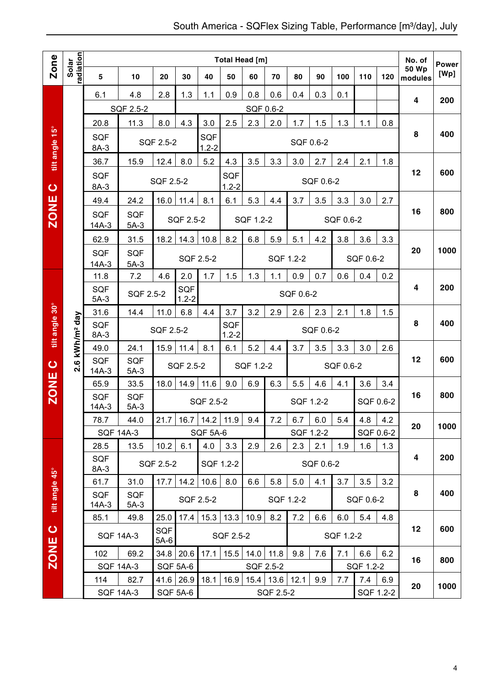|                |                            |                                                                                  |                      |                      |                 |                  | Total Head [m]   |           |           |           |                  |           |           |     | No. of           | <b>Power</b> |
|----------------|----------------------------|----------------------------------------------------------------------------------|----------------------|----------------------|-----------------|------------------|------------------|-----------|-----------|-----------|------------------|-----------|-----------|-----|------------------|--------------|
| Zone           | radiation<br>Solar         | $5\phantom{.0}$                                                                  | 10                   | 20                   | 30              | 40               | 50               | 60        | 70        | 80        | 90               | 100       | 110       | 120 | 50 Wp<br>modules | [Wp]         |
|                |                            | 6.1                                                                              | 4.8                  | 2.8                  | 1.3             | 1.1              | 0.9              | 0.8       | 0.6       | 0.4       | 0.3              | 0.1       |           |     |                  |              |
|                |                            |                                                                                  | SQF 2.5-2            |                      |                 |                  |                  | SQF 0.6-2 |           |           |                  |           |           |     | 4                | 200          |
|                |                            | 20.8                                                                             | 11.3                 | 8.0                  | 4.3             | 3.0              | 2.5              | 2.3       | 2.0       | 1.7       | 1.5              | 1.3       | 1.1       | 0.8 |                  |              |
| tilt angle 15° |                            | <b>SQF</b><br>8A-3                                                               |                      | SQF 2.5-2            |                 | SQF<br>$1.2 - 2$ |                  |           |           | SQF 0.6-2 |                  |           |           |     | 8                | 400          |
|                |                            | 36.7                                                                             | 15.9                 | 12.4                 | 8.0             | 5.2              | 4.3              | 3.5       | 3.3       | 3.0       | 2.7              | 2.4       | 2.1       | 1.8 |                  |              |
| $\bullet$      |                            | <b>SQF</b><br>8A-3                                                               |                      | SQF 2.5-2            |                 |                  | SQF<br>$1.2 - 2$ |           |           |           | SQF 0.6-2        |           |           |     | 12               | 600          |
|                |                            | 49.4                                                                             | 24.2                 | 16.0                 | 11.4            | 8.1              | 6.1              | 5.3       | 4.4       | 3.7       | 3.5              | 3.3       | 3.0       | 2.7 |                  |              |
| ZONE           |                            | <b>SQF</b><br>$14A-3$                                                            | <b>SQF</b><br>$5A-3$ |                      | SQF 2.5-2       |                  |                  | SQF 1.2-2 |           |           |                  | SQF 0.6-2 |           |     | 16               | 800          |
|                |                            | 62.9                                                                             | 31.5                 | 18.2                 | 14.3            | 10.8             | 8.2              | 6.8       | 5.9       | 5.1       | 4.2              | 3.8       | 3.6       | 3.3 |                  |              |
|                |                            | <b>SQF</b><br>14A-3                                                              | <b>SQF</b><br>$5A-3$ |                      |                 | SQF 2.5-2        |                  |           | SQF 1.2-2 |           |                  |           | SQF 0.6-2 |     | 20               | 1000         |
|                |                            | 11.8                                                                             | 7.2                  | 4.6                  | 2.0             | 1.7              | 1.5              | 1.3       | 1.1       | 0.9       | 0.7              | 0.6       | 0.4       | 0.2 |                  |              |
|                |                            | <b>SQF</b><br><b>SQF</b><br><b>SQF 2.5-2</b><br>SQF 0.6-2<br>$1.2 - 2$<br>$5A-3$ |                      |                      |                 |                  |                  |           |           |           |                  | 4         | 200       |     |                  |              |
|                |                            | 31.6                                                                             | 14.4                 | 11.0                 | 6.8             | 4.4              | 3.7              | 3.2       | 2.9       | 2.6       | 2.3              | 2.1       | 1.8       | 1.5 |                  |              |
| tilt angle 30° | 2.6 kWh/m <sup>2</sup> day | <b>SQF</b><br>8A-3                                                               |                      | <b>SQF 2.5-2</b>     |                 |                  | SQF<br>$1.2 - 2$ |           |           |           | SQF 0.6-2        |           |           |     | 8                | 400          |
|                |                            | 49.0                                                                             | 24.1                 | 15.9                 | 11.4            | 8.1              | 6.1              | 5.2       | 4.4       | 3.7       | 3.5              | 3.3       | 3.0       | 2.6 |                  |              |
| $\bullet$      |                            | <b>SQF</b><br>$14A-3$                                                            | SQF<br>$5A-3$        |                      | SQF 2.5-2       |                  |                  | SQF 1.2-2 |           |           |                  | SQF 0.6-2 |           |     | 12               | 600          |
| <b>ZONE</b>    |                            | 65.9                                                                             | 33.5                 | 18.0                 | 14.9            | 11.6             | 9.0              | 6.9       | 6.3       | 5.5       | 4.6              | 4.1       | 3.6       | 3.4 |                  |              |
|                |                            | <b>SQF</b><br>$14A-3$                                                            | <b>SQF</b><br>$5A-3$ |                      |                 | SQF 2.5-2        |                  |           |           | SQF 1.2-2 |                  |           | SQF 0.6-2 |     | 16               | 800          |
|                |                            | 78.7                                                                             | 44.0                 | 21.7                 | 16.7            | 14.2             | 11.9             | 9.4       | 7.2       | 6.7       | 6.0              | 5.4       | 4.8       | 4.2 | 20               | 1000         |
|                |                            |                                                                                  | <b>SQF 14A-3</b>     |                      |                 | <b>SQF 5A-6</b>  |                  |           |           |           | SQF 1.2-2        |           | SQF 0.6-2 |     |                  |              |
|                |                            | 28.5<br>SQF<br>8A-3                                                              | 13.5                 | 10.2<br>SQF 2.5-2    | 6.1             | 4.0              | 3.3<br>SQF 1.2-2 | 2.9       | 2.6       | 2.3       | 2.1<br>SQF 0.6-2 | 1.9       | 1.6       | 1.3 | 4                | 200          |
|                |                            | 61.7                                                                             | 31.0                 | 17.7                 | 14.2            | 10.6             | 8.0              | 6.6       | 5.8       | 5.0       | 4.1              | 3.7       | 3.5       | 3.2 |                  |              |
| tilt angle 45° |                            | <b>SQF</b><br>14A-3                                                              | <b>SQF</b><br>$5A-3$ |                      |                 | SQF 2.5-2        |                  |           |           | SQF 1.2-2 |                  |           | SQF 0.6-2 |     | 8                | 400          |
|                |                            | 85.1                                                                             | 49.8                 | 25.0                 | 17.4            | 15.3             | 13.3             | 10.9      | 8.2       | 7.2       | 6.6              | 6.0       | 5.4       | 4.8 |                  |              |
| $\circ$        |                            |                                                                                  | <b>SQF 14A-3</b>     | <b>SQF</b><br>$5A-6$ |                 |                  | SQF 2.5-2        |           |           |           |                  | SQF 1.2-2 |           |     | 12               | 600          |
| <b>ZONE</b>    |                            | 102                                                                              | 69.2                 | 34.8                 | 20.6            | 17.1             | 15.5             | 14.0      | 11.8      | 9.8       | 7.6              | 7.1       | 6.6       | 6.2 | 16               | 800          |
|                |                            |                                                                                  | <b>SQF 14A-3</b>     |                      | <b>SQF 5A-6</b> |                  |                  |           | SQF 2.5-2 |           |                  |           | SQF 1.2-2 |     |                  |              |
|                |                            | 114                                                                              | 82.7                 | 41.6                 | 26.9            | 18.1             | 16.9             | 15.4      | 13.6      | 12.1      | 9.9              | 7.7       | 7.4       | 6.9 | 20               | 1000         |
|                |                            |                                                                                  | <b>SQF 14A-3</b>     |                      | <b>SQF 5A-6</b> |                  |                  |           | SQF 2.5-2 |           |                  |           | SQF 1.2-2 |     |                  |              |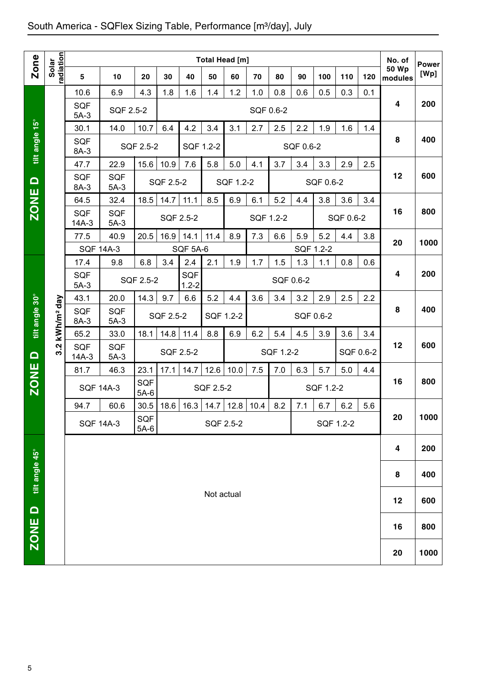|                |                        |                                                                                                                               |                      |                      |           |                                 | Total Head [m] |           |           |                  |           |           |           |         | No. of                  |                      |
|----------------|------------------------|-------------------------------------------------------------------------------------------------------------------------------|----------------------|----------------------|-----------|---------------------------------|----------------|-----------|-----------|------------------|-----------|-----------|-----------|---------|-------------------------|----------------------|
| <b>Zone</b>    | Solar<br>radiation     | 5                                                                                                                             | 10                   | 20                   | 30        | 40                              | 50             | 60        | 70        | 80               | 90        | 100       | 110       | 120     | <b>50 Wp</b><br>modules | <b>Power</b><br>[Wp] |
|                |                        | 10.6                                                                                                                          | 6.9                  | 4.3                  | 1.8       | 1.6                             | 1.4            | 1.2       | 1.0       | 0.8              | 0.6       | 0.5       | 0.3       | 0.1     |                         |                      |
|                |                        | <b>SQF</b><br>$5A-3$                                                                                                          | SQF 2.5-2            |                      |           |                                 |                |           | SQF 0.6-2 |                  |           |           |           |         | 4                       | 200                  |
|                |                        | 30.1                                                                                                                          | 14.0                 | 10.7                 | 6.4       | 4.2                             | 3.4            | 3.1       | 2.7       | 2.5              | 2.2       | 1.9       | 1.6       | 1.4     |                         |                      |
| tilt angle 15° |                        | <b>SQF</b><br>8A-3                                                                                                            |                      | SQF 2.5-2            |           | SQF 1.2-2                       |                |           |           |                  | SQF 0.6-2 |           |           |         | 8                       | 400                  |
|                |                        | 47.7                                                                                                                          | 22.9                 | 15.6                 | 10.9      | 7.6                             | 5.8            | 5.0       | 4.1       | 3.7              | 3.4       | 3.3       | 2.9       | 2.5     |                         |                      |
| $\Omega$       |                        | <b>SQF</b><br>8A-3                                                                                                            | <b>SQF</b><br>$5A-3$ |                      | SQF 2.5-2 |                                 |                | SQF 1.2-2 |           |                  |           | SQF 0.6-2 |           |         | 12                      | 600                  |
| <b>ZONE</b>    |                        | 64.5                                                                                                                          | 32.4                 | 18.5                 | 14.7      | 11.1                            | 8.5            | 6.9       | 6.1       | 5.2              | 4.4       | 3.8       | 3.6       | 3.4     |                         |                      |
|                |                        | <b>SQF</b><br>$14A-3$                                                                                                         | SQF<br>$5A-3$        |                      |           | SQF 2.5-2                       |                |           |           | SQF 1.2-2        |           |           | SQF 0.6-2 |         | 16                      | 800                  |
|                |                        | 77.5                                                                                                                          | 40.9                 | 20.5                 | 16.9      | 14.1                            | 11.4           | 8.9       | 7.3       | 6.6              | 5.9       | 5.2       | 4.4       | 3.8     | 20                      | 1000                 |
|                |                        | <b>SQF 14A-3</b>                                                                                                              |                      |                      |           | SQF 5A-6                        |                |           |           |                  | SQF 1.2-2 |           |           |         |                         |                      |
|                |                        | 17.4<br><b>SQF</b><br>$5A-3$                                                                                                  | 9.8                  | 6.8<br>SQF 2.5-2     | 3.4       | 2.4<br><b>SQF</b><br>$1.2 - 2$  | 2.1            | 1.9       | 1.7       | 1.5<br>SQF 0.6-2 | 1.3       | 1.1       | 0.8       | 0.6     | 4                       | 200                  |
|                |                        | 43.1                                                                                                                          | 20.0                 | 14.3                 | 9.7       | 6.6                             | 5.2            | 4.4       | 3.6       | 3.4              | 3.2       | 2.9       | 2.5       | 2.2     |                         |                      |
| tilt angle 30° | kWh/m <sup>2</sup> day | <b>SQF</b><br>8A-3                                                                                                            | <b>SQF</b><br>$5A-3$ |                      | SQF 2.5-2 |                                 | SQF 1.2-2      |           |           |                  | SQF 0.6-2 |           |           |         | 8                       | 400                  |
|                |                        | 14.8<br>8.8<br>6.9<br>6.2<br>4.5<br>3.9<br>65.2<br>33.0<br>18.1<br>11.4<br>5.4<br>3.6<br>3.4<br>Ņ<br><b>SQF</b><br><b>SQF</b> |                      |                      |           |                                 |                |           |           |                  |           |           |           | 12      | 600                     |                      |
| $\Omega$       | ຕ່                     | $14A-3$                                                                                                                       | $5A-3$               |                      |           | SQF 2.5-2                       |                |           |           | SQF 1.2-2        |           |           | SQF 0.6-2 |         |                         |                      |
|                |                        | 81.7                                                                                                                          | 46.3                 | 23.1                 | 17.1      | 14.7                            | 12.6           | 10.0      | 7.5       | 7.0              | 6.3       | 5.7       | 5.0       | 4.4     |                         |                      |
| <b>ZONE</b>    |                        | <b>SQF 14A-3</b>                                                                                                              |                      | <b>SQF</b><br>$5A-6$ |           |                                 | SQF 2.5-2      |           |           |                  |           | SQF 1.2-2 |           |         | 16                      | 800                  |
|                |                        | 94.7                                                                                                                          | 60.6                 |                      |           | $30.5$ 18.6 16.3 14.7 12.8 10.4 |                |           |           | 8.2              | 7.1       | 6.7       | $6.2\,$   | $5.6\,$ | 20                      | 1000                 |
|                |                        | <b>SQF 14A-3</b>                                                                                                              |                      | SQF<br>$5A-6$        |           |                                 |                | SQF 2.5-2 |           |                  |           | SQF 1.2-2 |           |         |                         |                      |
|                |                        |                                                                                                                               |                      |                      |           |                                 |                |           |           |                  |           |           |           |         | 4                       | 200                  |
| tilt angle 45° |                        |                                                                                                                               |                      |                      |           |                                 |                |           |           |                  |           |           |           |         | 8                       | 400                  |
|                |                        |                                                                                                                               |                      |                      |           |                                 | Not actual     |           |           |                  |           |           |           |         | 12                      | 600                  |
| ZONE D         |                        |                                                                                                                               |                      |                      |           |                                 |                |           |           |                  |           |           |           |         | 16                      | 800                  |
|                |                        |                                                                                                                               |                      |                      |           |                                 |                |           |           |                  |           |           |           |         | 20                      | 1000                 |
| 5              |                        |                                                                                                                               |                      |                      |           |                                 |                |           |           |                  |           |           |           |         |                         |                      |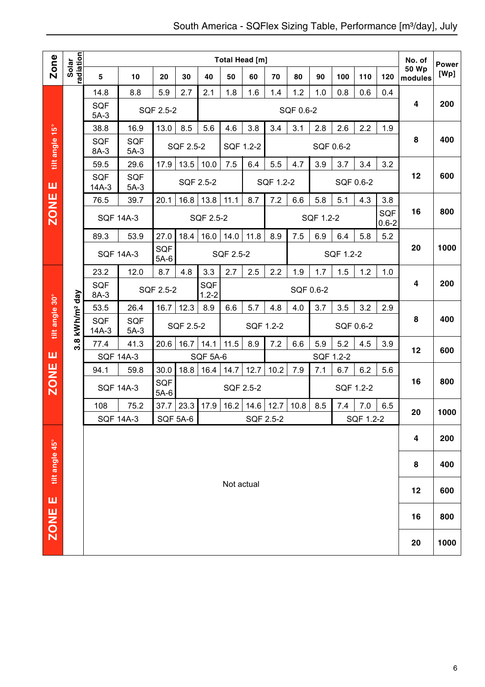| <b>Zone</b>    |                        |                       |                      |                      |                 |                  |            | Total Head [m] |           |           |           |           |           |                  | No. of                  | <b>Power</b> |
|----------------|------------------------|-----------------------|----------------------|----------------------|-----------------|------------------|------------|----------------|-----------|-----------|-----------|-----------|-----------|------------------|-------------------------|--------------|
|                | radiation<br>Solar     | 5                     | 10                   | 20                   | 30              | 40               | 50         | 60             | 70        | 80        | 90        | 100       | 110       | 120              | <b>50 Wp</b><br>modules | [Wp]         |
|                |                        | 14.8                  | 8.8                  | 5.9                  | 2.7             | 2.1              | 1.8        | 1.6            | 1.4       | 1.2       | 1.0       | 0.8       | 0.6       | 0.4              |                         |              |
|                |                        | <b>SQF</b><br>$5A-3$  |                      | SQF 2.5-2            |                 |                  |            |                |           | SQF 0.6-2 |           |           |           |                  | 4                       | 200          |
| $15^{\circ}$   |                        | 38.8                  | 16.9                 | 13.0                 | 8.5             | 5.6              | 4.6        | 3.8            | 3.4       | 3.1       | 2.8       | 2.6       | 2.2       | 1.9              |                         |              |
| tilt angle     |                        | SQF<br>8A-3           | <b>SQF</b><br>$5A-3$ |                      | SQF 2.5-2       |                  |            | SQF 1.2-2      |           |           | SQF 0.6-2 |           |           |                  | 8                       | 400          |
|                |                        | 59.5                  | 29.6                 | 17.9                 | 13.5            | 10.0             | 7.5        | 6.4            | 5.5       | 4.7       | 3.9       | 3.7       | 3.4       | 3.2              |                         |              |
| ш              |                        | <b>SQF</b><br>$14A-3$ | <b>SQF</b><br>$5A-3$ |                      |                 | SQF 2.5-2        |            |                | SQF 1.2-2 |           |           |           | SQF 0.6-2 |                  | 12                      | 600          |
|                |                        | 76.5                  | 39.7                 | 20.1                 | 16.8            | 13.8             | 11.1       | 8.7            | 7.2       | 6.6       | 5.8       | 5.1       | 4.3       | 3.8              |                         |              |
| <b>ZONE</b>    |                        |                       | <b>SQF 14A-3</b>     |                      |                 | SQF 2.5-2        |            |                |           |           | SQF 1.2-2 |           |           | SQF<br>$0.6 - 2$ | 16                      | 800          |
|                |                        | 89.3                  | 53.9                 | 27.0                 | 18.4            | 16.0             | 14.0       | 11.8           | 8.9       | 7.5       | 6.9       | 6.4       | 5.8       | 5.2              |                         |              |
|                |                        |                       | <b>SQF 14A-3</b>     | SQF<br>$5A-6$        |                 |                  | SQF 2.5-2  |                |           |           |           | SQF 1.2-2 |           |                  | 20                      | 1000         |
|                |                        | 23.2                  | 12.0                 | 8.7                  | 4.8             | 3.3              | 2.7        | 2.5            | 2.2       | 1.9       | 1.7       | 1.5       | 1.2       | 1.0              |                         |              |
|                |                        | <b>SQF</b><br>8A-3    |                      | SQF 2.5-2            |                 | SQF<br>$1.2 - 2$ |            |                |           | SQF 0.6-2 |           |           |           |                  | 4                       | 200          |
|                |                        | 53.5                  | 26.4                 | 16.7                 | 12.3            | 8.9              | 6.6        | 5.7            | 4.8       | 4.0       | 3.7       | 3.5       | 3.2       | 2.9              |                         |              |
| tilt angle 30° | kWh/m <sup>2</sup> day | <b>SQF</b><br>$14A-3$ | <b>SQF</b><br>$5A-3$ |                      | SQF 2.5-2       |                  |            | SQF 1.2-2      |           |           |           |           | SQF 0.6-2 |                  | 8                       | 400          |
|                | <u>ვ.</u>              | 77.4                  | 41.3                 | 20.6                 | 16.7            | 14.1             | 11.5       | 8.9            | 7.2       | 6.6       | 5.9       | 5.2       | 4.5       | 3.9              | 12                      | 600          |
| ш              |                        | <b>SQF 14A-3</b>      |                      |                      |                 | SQF 5A-6         |            |                |           |           | SQF 1.2-2 |           |           |                  |                         |              |
|                |                        | 94.1                  | 59.8                 | 30.0                 | 18.8            | 16.4             | 14.7       | 12.7           | 10.2      | 7.9       | 7.1       | 6.7       | 6.2       | 5.6              |                         |              |
| <b>ZONE</b>    |                        |                       | <b>SQF 14A-3</b>     | <b>SQF</b><br>$5A-6$ |                 |                  |            | SQF 2.5-2      |           |           |           |           | SQF 1.2-2 |                  | 16                      | 800          |
|                |                        | 108                   | 75.2                 | 37.7                 | 23.3            | 17.9             | 16.2       | 14.6           | 12.7      | 10.8      | 8.5       | 7.4       | 7.0       | 6.5              | 20                      | 1000         |
|                |                        |                       | <b>SQF 14A-3</b>     |                      | <b>SQF 5A-6</b> |                  |            | SQF 2.5-2      |           |           |           |           | SQF 1.2-2 |                  |                         |              |
|                |                        |                       |                      |                      |                 |                  |            |                |           |           |           |           |           |                  | 4                       | 200          |
| tilt angle 45° |                        |                       |                      |                      |                 |                  |            |                |           |           |           |           |           | 8                | 400                     |              |
|                |                        |                       |                      |                      |                 |                  | Not actual |                |           |           |           |           |           |                  | 12                      | 600          |
| ZONE E         |                        |                       |                      |                      |                 |                  |            |                |           |           |           |           |           |                  | 16                      | 800          |
|                |                        |                       |                      |                      |                 |                  |            |                |           |           |           |           |           |                  | 20                      | 1000         |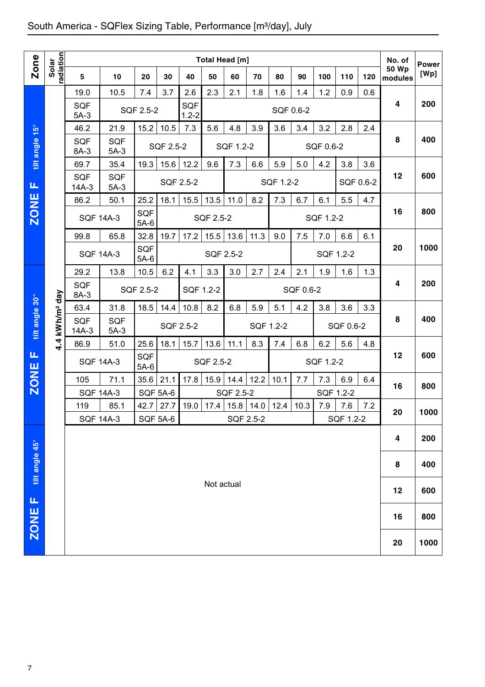| Solar<br>radiation<br>Zone<br><b>50 Wp</b><br>5<br>50<br>80<br>10<br>20<br>30<br>40<br>60<br>70<br>90<br>100<br>110<br>120<br>modules<br>19.0<br>10.5<br>7.4<br>3.7<br>2.6<br>2.3<br>2.1<br>1.8<br>1.6<br>1.4<br>1.2<br>0.9<br>0.6<br>4<br>SQF<br><b>SQF</b><br>SQF 2.5-2<br>SQF 0.6-2<br>$1.2 - 2$<br>$5A-3$<br>tilt angle 15°<br>15.2<br>7.3<br>4.8<br>3.2<br>2.8<br>46.2<br>21.9<br>10.5<br>5.6<br>3.9<br>3.6<br>3.4<br>2.4<br>8<br><b>SQF</b><br><b>SQF</b><br>SQF 2.5-2<br>SQF 1.2-2<br>SQF 0.6-2<br>$5A-3$<br>8A-3<br>12.2<br>19.3<br>15.6<br>9.6<br>7.3<br>6.6<br>5.9<br>5.0<br>4.2<br>3.8<br>3.6<br>69.7<br>35.4<br>12<br><b>SQF</b><br><b>SQF</b><br>SQF 2.5-2<br>SQF 1.2-2<br>SQF 0.6-2<br>Щ<br>$14A-3$<br>$5A-3$<br><b>ZONE</b><br>18.1<br>15.5<br>13.5<br>7.3<br>5.5<br>86.2<br>50.1<br>25.2<br>11.0<br>8.2<br>6.7<br>6.1<br>4.7<br>16<br><b>SQF</b><br><b>SQF 14A-3</b><br><b>SQF 2.5-2</b><br>SQF 1.2-2<br>$5A-6$<br>32.8<br>19.7<br>13.6<br>11.3<br>6.6<br>99.8<br>65.8<br>17.2<br>15.5<br>9.0<br>7.5<br>7.0<br>6.1<br>20<br>SQF<br><b>SQF 14A-3</b><br>SQF 2.5-2<br>SQF 1.2-2<br>$5A-6$<br>3.3<br>3.0<br>10.5<br>6.2<br>2.7<br>2.4<br>1.9<br>1.6<br>1.3<br>29.2<br>13.8<br>4.1<br>2.1<br>4<br><b>SQF</b><br>SQF 2.5-2<br>SQF 1.2-2<br>SQF 0.6-2<br>day<br>8A-3<br>tilt angle 30°<br>10.8<br>8.2<br>4.4 kWh/m <sup>2</sup><br>63.4<br>31.8<br>18.5<br>14.4<br>6.8<br>5.9<br>5.1<br>4.2<br>3.8<br>3.6<br>3.3<br>8<br><b>SQF</b><br><b>SQF</b><br>SQF 2.5-2<br>SQF 1.2-2<br>SQF 0.6-2<br>$5A-3$<br>$14A-3$<br>25.6<br>18.1<br>8.3<br>6.8<br>6.2<br>5.6<br>51.0<br>15.7<br>13.6<br>11.1<br>7.4<br>4.8<br>86.9<br>Щ<br>12<br>SQF<br><b>SQF 14A-3</b><br>SQF 2.5-2<br>SQF 1.2-2<br><b>ZONE</b><br>$5A-6$<br>35.6<br>21.1<br>17.8<br>15.9<br>14.4<br>12.2<br>10.1<br>7.3<br>6.9<br>105<br>71.1<br>7.7<br>6.4<br>16<br><b>SQF 14A-3</b><br>SQF 2.5-2<br><b>SQF 5A-6</b><br>SQF 1.2-2<br>42.7<br>27.7<br>19.0   17.4   15.8   14.0   12.4  <br>7.9<br>119<br>85.1<br>10.3<br>7.6<br>7.2<br>20 | <b>Power</b><br>[Wp]<br>200<br>400<br>600<br>800<br>1000<br>200 |
|------------------------------------------------------------------------------------------------------------------------------------------------------------------------------------------------------------------------------------------------------------------------------------------------------------------------------------------------------------------------------------------------------------------------------------------------------------------------------------------------------------------------------------------------------------------------------------------------------------------------------------------------------------------------------------------------------------------------------------------------------------------------------------------------------------------------------------------------------------------------------------------------------------------------------------------------------------------------------------------------------------------------------------------------------------------------------------------------------------------------------------------------------------------------------------------------------------------------------------------------------------------------------------------------------------------------------------------------------------------------------------------------------------------------------------------------------------------------------------------------------------------------------------------------------------------------------------------------------------------------------------------------------------------------------------------------------------------------------------------------------------------------------------------------------------------------------------------------------------------------------------------------------------------------------------------------------------------------------------------------------|-----------------------------------------------------------------|
|                                                                                                                                                                                                                                                                                                                                                                                                                                                                                                                                                                                                                                                                                                                                                                                                                                                                                                                                                                                                                                                                                                                                                                                                                                                                                                                                                                                                                                                                                                                                                                                                                                                                                                                                                                                                                                                                                                                                                                                                      |                                                                 |
|                                                                                                                                                                                                                                                                                                                                                                                                                                                                                                                                                                                                                                                                                                                                                                                                                                                                                                                                                                                                                                                                                                                                                                                                                                                                                                                                                                                                                                                                                                                                                                                                                                                                                                                                                                                                                                                                                                                                                                                                      |                                                                 |
|                                                                                                                                                                                                                                                                                                                                                                                                                                                                                                                                                                                                                                                                                                                                                                                                                                                                                                                                                                                                                                                                                                                                                                                                                                                                                                                                                                                                                                                                                                                                                                                                                                                                                                                                                                                                                                                                                                                                                                                                      |                                                                 |
|                                                                                                                                                                                                                                                                                                                                                                                                                                                                                                                                                                                                                                                                                                                                                                                                                                                                                                                                                                                                                                                                                                                                                                                                                                                                                                                                                                                                                                                                                                                                                                                                                                                                                                                                                                                                                                                                                                                                                                                                      |                                                                 |
|                                                                                                                                                                                                                                                                                                                                                                                                                                                                                                                                                                                                                                                                                                                                                                                                                                                                                                                                                                                                                                                                                                                                                                                                                                                                                                                                                                                                                                                                                                                                                                                                                                                                                                                                                                                                                                                                                                                                                                                                      |                                                                 |
|                                                                                                                                                                                                                                                                                                                                                                                                                                                                                                                                                                                                                                                                                                                                                                                                                                                                                                                                                                                                                                                                                                                                                                                                                                                                                                                                                                                                                                                                                                                                                                                                                                                                                                                                                                                                                                                                                                                                                                                                      |                                                                 |
|                                                                                                                                                                                                                                                                                                                                                                                                                                                                                                                                                                                                                                                                                                                                                                                                                                                                                                                                                                                                                                                                                                                                                                                                                                                                                                                                                                                                                                                                                                                                                                                                                                                                                                                                                                                                                                                                                                                                                                                                      |                                                                 |
|                                                                                                                                                                                                                                                                                                                                                                                                                                                                                                                                                                                                                                                                                                                                                                                                                                                                                                                                                                                                                                                                                                                                                                                                                                                                                                                                                                                                                                                                                                                                                                                                                                                                                                                                                                                                                                                                                                                                                                                                      |                                                                 |
|                                                                                                                                                                                                                                                                                                                                                                                                                                                                                                                                                                                                                                                                                                                                                                                                                                                                                                                                                                                                                                                                                                                                                                                                                                                                                                                                                                                                                                                                                                                                                                                                                                                                                                                                                                                                                                                                                                                                                                                                      |                                                                 |
|                                                                                                                                                                                                                                                                                                                                                                                                                                                                                                                                                                                                                                                                                                                                                                                                                                                                                                                                                                                                                                                                                                                                                                                                                                                                                                                                                                                                                                                                                                                                                                                                                                                                                                                                                                                                                                                                                                                                                                                                      |                                                                 |
|                                                                                                                                                                                                                                                                                                                                                                                                                                                                                                                                                                                                                                                                                                                                                                                                                                                                                                                                                                                                                                                                                                                                                                                                                                                                                                                                                                                                                                                                                                                                                                                                                                                                                                                                                                                                                                                                                                                                                                                                      |                                                                 |
|                                                                                                                                                                                                                                                                                                                                                                                                                                                                                                                                                                                                                                                                                                                                                                                                                                                                                                                                                                                                                                                                                                                                                                                                                                                                                                                                                                                                                                                                                                                                                                                                                                                                                                                                                                                                                                                                                                                                                                                                      |                                                                 |
|                                                                                                                                                                                                                                                                                                                                                                                                                                                                                                                                                                                                                                                                                                                                                                                                                                                                                                                                                                                                                                                                                                                                                                                                                                                                                                                                                                                                                                                                                                                                                                                                                                                                                                                                                                                                                                                                                                                                                                                                      |                                                                 |
|                                                                                                                                                                                                                                                                                                                                                                                                                                                                                                                                                                                                                                                                                                                                                                                                                                                                                                                                                                                                                                                                                                                                                                                                                                                                                                                                                                                                                                                                                                                                                                                                                                                                                                                                                                                                                                                                                                                                                                                                      |                                                                 |
|                                                                                                                                                                                                                                                                                                                                                                                                                                                                                                                                                                                                                                                                                                                                                                                                                                                                                                                                                                                                                                                                                                                                                                                                                                                                                                                                                                                                                                                                                                                                                                                                                                                                                                                                                                                                                                                                                                                                                                                                      | 400                                                             |
|                                                                                                                                                                                                                                                                                                                                                                                                                                                                                                                                                                                                                                                                                                                                                                                                                                                                                                                                                                                                                                                                                                                                                                                                                                                                                                                                                                                                                                                                                                                                                                                                                                                                                                                                                                                                                                                                                                                                                                                                      |                                                                 |
|                                                                                                                                                                                                                                                                                                                                                                                                                                                                                                                                                                                                                                                                                                                                                                                                                                                                                                                                                                                                                                                                                                                                                                                                                                                                                                                                                                                                                                                                                                                                                                                                                                                                                                                                                                                                                                                                                                                                                                                                      | 600                                                             |
|                                                                                                                                                                                                                                                                                                                                                                                                                                                                                                                                                                                                                                                                                                                                                                                                                                                                                                                                                                                                                                                                                                                                                                                                                                                                                                                                                                                                                                                                                                                                                                                                                                                                                                                                                                                                                                                                                                                                                                                                      | 800                                                             |
|                                                                                                                                                                                                                                                                                                                                                                                                                                                                                                                                                                                                                                                                                                                                                                                                                                                                                                                                                                                                                                                                                                                                                                                                                                                                                                                                                                                                                                                                                                                                                                                                                                                                                                                                                                                                                                                                                                                                                                                                      |                                                                 |
| SQF 5A-6<br>SQF 1.2-2<br><b>SQF 14A-3</b><br>SQF 2.5-2                                                                                                                                                                                                                                                                                                                                                                                                                                                                                                                                                                                                                                                                                                                                                                                                                                                                                                                                                                                                                                                                                                                                                                                                                                                                                                                                                                                                                                                                                                                                                                                                                                                                                                                                                                                                                                                                                                                                               | 1000                                                            |
| 4                                                                                                                                                                                                                                                                                                                                                                                                                                                                                                                                                                                                                                                                                                                                                                                                                                                                                                                                                                                                                                                                                                                                                                                                                                                                                                                                                                                                                                                                                                                                                                                                                                                                                                                                                                                                                                                                                                                                                                                                    | 200                                                             |
| tilt angle 45°<br>8                                                                                                                                                                                                                                                                                                                                                                                                                                                                                                                                                                                                                                                                                                                                                                                                                                                                                                                                                                                                                                                                                                                                                                                                                                                                                                                                                                                                                                                                                                                                                                                                                                                                                                                                                                                                                                                                                                                                                                                  | 400                                                             |
| Not actual<br>12                                                                                                                                                                                                                                                                                                                                                                                                                                                                                                                                                                                                                                                                                                                                                                                                                                                                                                                                                                                                                                                                                                                                                                                                                                                                                                                                                                                                                                                                                                                                                                                                                                                                                                                                                                                                                                                                                                                                                                                     | 600                                                             |
| щ                                                                                                                                                                                                                                                                                                                                                                                                                                                                                                                                                                                                                                                                                                                                                                                                                                                                                                                                                                                                                                                                                                                                                                                                                                                                                                                                                                                                                                                                                                                                                                                                                                                                                                                                                                                                                                                                                                                                                                                                    |                                                                 |
| ZONE<br>16                                                                                                                                                                                                                                                                                                                                                                                                                                                                                                                                                                                                                                                                                                                                                                                                                                                                                                                                                                                                                                                                                                                                                                                                                                                                                                                                                                                                                                                                                                                                                                                                                                                                                                                                                                                                                                                                                                                                                                                           | 800                                                             |
| 20                                                                                                                                                                                                                                                                                                                                                                                                                                                                                                                                                                                                                                                                                                                                                                                                                                                                                                                                                                                                                                                                                                                                                                                                                                                                                                                                                                                                                                                                                                                                                                                                                                                                                                                                                                                                                                                                                                                                                                                                   | 1000                                                            |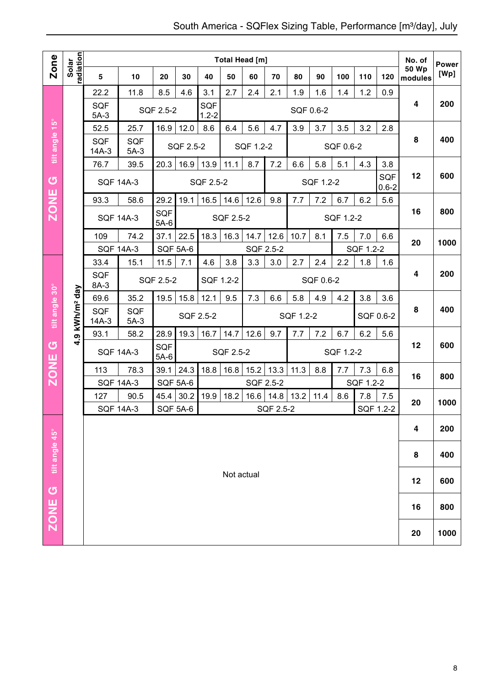|                       |                            |                                 |                      |                 |           |                  |            | Total Head [m] |           |           |           |           |           |                  | No. of                  | <b>Power</b> |
|-----------------------|----------------------------|---------------------------------|----------------------|-----------------|-----------|------------------|------------|----------------|-----------|-----------|-----------|-----------|-----------|------------------|-------------------------|--------------|
| Zone                  | radiation<br>Solar         | 5                               | 10                   | 20              | 30        | 40               | 50         | 60             | 70        | 80        | 90        | 100       | 110       | 120              | <b>50 Wp</b><br>modules | [Wp]         |
|                       |                            | 22.2                            | 11.8                 | 8.5             | 4.6       | 3.1              | 2.7        | 2.4            | 2.1       | 1.9       | 1.6       | 1.4       | 1.2       | 0.9              |                         |              |
|                       |                            | <b>SQF</b><br>$5A-3$            |                      | SQF 2.5-2       |           | SQF<br>$1.2 - 2$ |            |                |           | SQF 0.6-2 |           |           |           |                  | 4                       | 200          |
|                       |                            | 52.5                            | 25.7                 | 16.9            | 12.0      | 8.6              | 6.4        | 5.6            | 4.7       | 3.9       | 3.7       | 3.5       | 3.2       | 2.8              |                         |              |
| tilt angle 15°        |                            | <b>SQF</b><br>$14A-3$           | <b>SQF</b><br>$5A-3$ |                 | SQF 2.5-2 |                  |            | SQF 1.2-2      |           |           |           | SQF 0.6-2 |           |                  | 8                       | 400          |
|                       |                            | 76.7                            | 39.5                 | 20.3            | 16.9      | 13.9             | 11.1       | 8.7            | 7.2       | 6.6       | 5.8       | 5.1       | 4.3       | 3.8              |                         |              |
| $\sigma$              |                            | <b>SQF 14A-3</b>                |                      |                 |           | SQF 2.5-2        |            |                |           |           | SQF 1.2-2 |           |           | SQF<br>$0.6 - 2$ | 12                      | 600          |
|                       |                            | 93.3                            | 58.6                 | 29.2            | 19.1      | 16.5             | 14.6       | 12.6           | 9.8       | 7.7       | 7.2       | 6.7       | 6.2       | 5.6              |                         |              |
| <b>ZONE</b>           |                            |                                 | <b>SQF 14A-3</b>     | SQF<br>$5A-6$   |           |                  | SQF 2.5-2  |                |           |           |           | SQF 1.2-2 |           |                  | 16                      | 800          |
|                       |                            | 109                             | 74.2                 | 37.1            | 22.5      | 18.3             | 16.3       | 14.7           | 12.6      | 10.7      | 8.1       | 7.5       | 7.0       | 6.6              |                         |              |
|                       |                            |                                 | <b>SQF 14A-3</b>     | SQF 5A-6        |           |                  |            | SQF 2.5-2      |           |           |           |           | SQF 1.2-2 |                  | 20                      | 1000         |
|                       |                            | 33.4                            | 15.1                 | 11.5            | 7.1       | 4.6              | 3.8        | 3.3            | 3.0       | 2.7       | 2.4       | 2.2       | 1.8       | 1.6              |                         |              |
|                       |                            | <b>SQF</b><br>SQF 2.5-2<br>8A-3 |                      |                 |           | SQF 1.2-2        |            |                |           |           | SQF 0.6-2 |           |           |                  | 4                       | 200          |
|                       |                            | 69.6                            | 35.2                 | 19.5            | 15.8      | 12.1             | 9.5        | 7.3            | 6.6       | 5.8       | 4.9       | 4.2       | 3.8       | 3.6              |                         |              |
| tilt angle 30°        | 4.9 kWh/m <sup>2</sup> day | SQF<br>$14A-3$                  | <b>SQF</b><br>$5A-3$ |                 |           | SQF 2.5-2        |            |                |           | SQF 1.2-2 |           |           |           | SQF 0.6-2        | 8                       | 400          |
|                       |                            | 93.1                            | 58.2                 | 28.9            | 19.3      | 16.7             | 14.7       | 12.6           | 9.7       | 7.7       | 7.2       | 6.7       | 6.2       | 5.6              |                         |              |
| $\sigma$              |                            |                                 | <b>SQF 14A-3</b>     | SQF<br>$5A-6$   |           |                  | SQF 2.5-2  |                |           |           |           | SQF 1.2-2 |           |                  | 12                      | 600          |
| <b>ZONE</b>           |                            | 113                             | 78.3                 | 39.1            | 24.3      | 18.8             | 16.8       | 15.2           | 13.3      | 11.3      | 8.8       | 7.7       | 7.3       | 6.8              | 16                      | 800          |
|                       |                            | <b>SQF 14A-3</b>                |                      | <b>SQF 5A-6</b> |           |                  |            | SQF 2.5-2      |           |           |           |           | SQF 1.2-2 |                  |                         |              |
|                       |                            | 127                             | 90.5                 | 45.4            | 30.2      | 19.9             | 18.2       | 16.6           | 14.8      | 13.2      | 11.4      | 8.6       | 7.8       | 7.5              | 20                      | 1000         |
|                       |                            | <b>SQF 14A-3</b>                |                      | <b>SQF 5A-6</b> |           |                  |            |                | SQF 2.5-2 |           |           |           |           | SQF 1.2-2        |                         |              |
|                       |                            |                                 |                      |                 |           |                  |            |                |           |           |           |           |           |                  | 4                       | 200          |
|                       |                            |                                 |                      |                 |           |                  |            |                |           |           |           | 8         | 400       |                  |                         |              |
| ZONE G tilt angle 45° |                            |                                 |                      |                 |           |                  | Not actual |                |           |           |           |           |           |                  | 12                      | 600          |
|                       |                            |                                 |                      |                 |           |                  |            |                |           |           |           |           |           |                  | 16                      | 800          |
|                       |                            |                                 |                      |                 |           |                  |            |                |           |           |           |           |           |                  | 20                      | 1000         |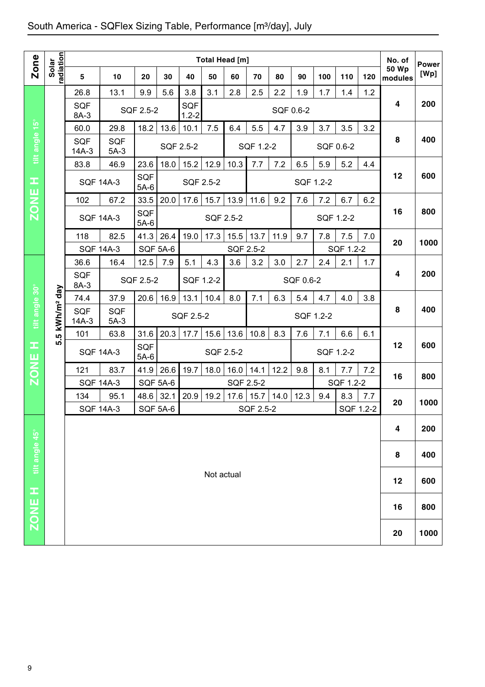|                |                        |                                                                                         |                      |                 |                 |                   |            | <b>Total Head [m]</b> |           |           |           |     |           |           | No. of                  | <b>Power</b> |
|----------------|------------------------|-----------------------------------------------------------------------------------------|----------------------|-----------------|-----------------|-------------------|------------|-----------------------|-----------|-----------|-----------|-----|-----------|-----------|-------------------------|--------------|
| Zone           | Solar<br>radiation     | 5                                                                                       | 10                   | 20              | 30              | 40                | 50         | 60                    | 70        | 80        | 90        | 100 | 110       | 120       | <b>50 Wp</b><br>modules | [Wp]         |
|                |                        | 26.8                                                                                    | 13.1                 | 9.9             | 5.6             | 3.8               | 3.1        | 2.8                   | 2.5       | 2.2       | 1.9       | 1.7 | 1.4       | 1.2       |                         |              |
|                |                        | <b>SQF</b>                                                                              |                      | SQF 2.5-2       |                 | SQF               |            |                       |           | SQF 0.6-2 |           |     |           |           | 4                       | 200          |
|                |                        | 8A-3<br>60.0                                                                            | 29.8                 | 18.2            | 13.6            | $1.2 - 2$<br>10.1 | 7.5        | 6.4                   | 5.5       | 4.7       | 3.9       | 3.7 | 3.5       | 3.2       |                         |              |
|                |                        | SQF                                                                                     | SQF                  |                 |                 |                   |            |                       |           |           |           |     |           |           | 8                       | 400          |
| tilt angle 15° |                        | $14A-3$                                                                                 | $5A-3$               |                 |                 | SQF 2.5-2         |            |                       | SQF 1.2-2 |           |           |     | SQF 0.6-2 |           |                         |              |
|                |                        | 83.8                                                                                    | 46.9                 | 23.6            | 18.0            | 15.2              | 12.9       | 10.3                  | 7.7       | 7.2       | 6.5       | 5.9 | 5.2       | 4.4       | 12                      | 600          |
| щ,             |                        | <b>SQF 14A-3</b>                                                                        |                      | SQF<br>$5A-6$   |                 | SQF 2.5-2         |            |                       |           |           | SQF 1.2-2 |     |           |           |                         |              |
| <b>ZONE</b>    |                        | 102                                                                                     | 67.2                 | 33.5            | 20.0            | 17.6              | 15.7       | 13.9                  | 11.6      | 9.2       | 7.6       | 7.2 | 6.7       | 6.2       |                         |              |
|                |                        | <b>SQF 14A-3</b>                                                                        |                      | SQF<br>$5A-6$   |                 |                   | SQF 2.5-2  |                       |           |           |           |     | SQF 1.2-2 |           | 16                      | 800          |
|                |                        | 118                                                                                     | 82.5                 | 41.3            | 26.4            | 19.0              | 17.3       | 15.5                  | 13.7      | 11.9      | 9.7       | 7.8 | 7.5       | 7.0       |                         |              |
|                |                        | <b>SQF 14A-3</b>                                                                        |                      | <b>SQF 5A-6</b> |                 |                   |            | SQF 2.5-2             |           |           |           |     | SQF 1.2-2 |           | 20                      | 1000         |
|                |                        | 36.6                                                                                    | 16.4                 | 12.5            | 7.9             | 5.1               | 4.3        | 3.6                   | 3.2       | 3.0       | 2.7       | 2.4 | 2.1       | 1.7       |                         |              |
|                |                        | <b>SQF</b><br>8A-3                                                                      |                      | SQF 2.5-2       |                 | SQF 1.2-2         |            |                       |           |           | SQF 0.6-2 |     |           |           | 4                       | 200          |
|                |                        | 74.4                                                                                    | 37.9                 | 20.6            | 16.9            | 13.1              | 10.4       | 8.0                   | 7.1       | 6.3       | 5.4       | 4.7 | 4.0       | 3.8       |                         |              |
| tilt angle 30° | kWh/m <sup>2</sup> day | SQF<br>$14A-3$                                                                          | <b>SQF</b><br>$5A-3$ |                 |                 | SQF 2.5-2         |            |                       |           |           | SQF 1.2-2 |     |           |           | 8                       | 400          |
|                | ഥ                      | 31.6<br>20.3<br>10.8<br>8.3<br>63.8<br>17.7<br>15.6<br>13.6<br>7.6<br>7.1<br>6.6<br>101 |                      |                 |                 |                   |            |                       |           |           |           |     | 6.1       |           |                         |              |
| œ              | ιó                     | <b>SQF 14A-3</b>                                                                        |                      | SQF<br>$5A-6$   |                 |                   |            | SQF 2.5-2             |           |           |           |     | SQF 1.2-2 |           | 12                      | 600          |
| <b>ZONE</b>    |                        | 121                                                                                     | 83.7                 | 41.9            | 26.6            | 19.7              | 18.0       | 16.0                  | 14.1      | 12.2      | 9.8       | 8.1 | 7.7       | 7.2       |                         |              |
|                |                        | <b>SQF 14A-3</b>                                                                        |                      |                 | <b>SQF 5A-6</b> |                   |            | SQF 2.5-2             |           |           |           |     | SQF 1.2-2 |           | 16                      | 800          |
|                |                        | 134                                                                                     | 95.1                 | 48.6            | 32.1            | 20.9              | 19.2       | 17.6                  | 15.7      | 14.0      | 12.3      | 9.4 | 8.3       | 7.7       | 20                      | 1000         |
|                |                        | <b>SQF 14A-3</b>                                                                        |                      |                 | <b>SQF 5A-6</b> |                   |            |                       | SQF 2.5-2 |           |           |     |           | SQF 1.2-2 |                         |              |
|                |                        |                                                                                         |                      |                 |                 |                   |            |                       |           |           |           |     |           |           | 4                       | 200          |
| tilt angle 45° |                        |                                                                                         |                      |                 |                 |                   |            |                       |           |           |           |     |           |           | 8                       | 400          |
|                |                        |                                                                                         |                      |                 |                 |                   |            |                       |           |           |           |     |           |           |                         |              |
|                |                        |                                                                                         |                      |                 |                 |                   | Not actual |                       |           |           |           |     |           |           | 12                      | 600          |
|                |                        |                                                                                         |                      |                 |                 |                   |            |                       |           |           |           |     |           |           | 16                      | 800          |
| <b>H 3NOZ</b>  |                        |                                                                                         |                      |                 |                 |                   |            |                       |           |           |           |     |           |           |                         |              |
|                |                        |                                                                                         |                      |                 |                 |                   |            |                       |           |           |           |     |           |           | 20                      | 1000         |
|                |                        |                                                                                         |                      |                 |                 |                   |            |                       |           |           |           |     |           |           |                         |              |
| 9              |                        |                                                                                         |                      |                 |                 |                   |            |                       |           |           |           |     |           |           |                         |              |